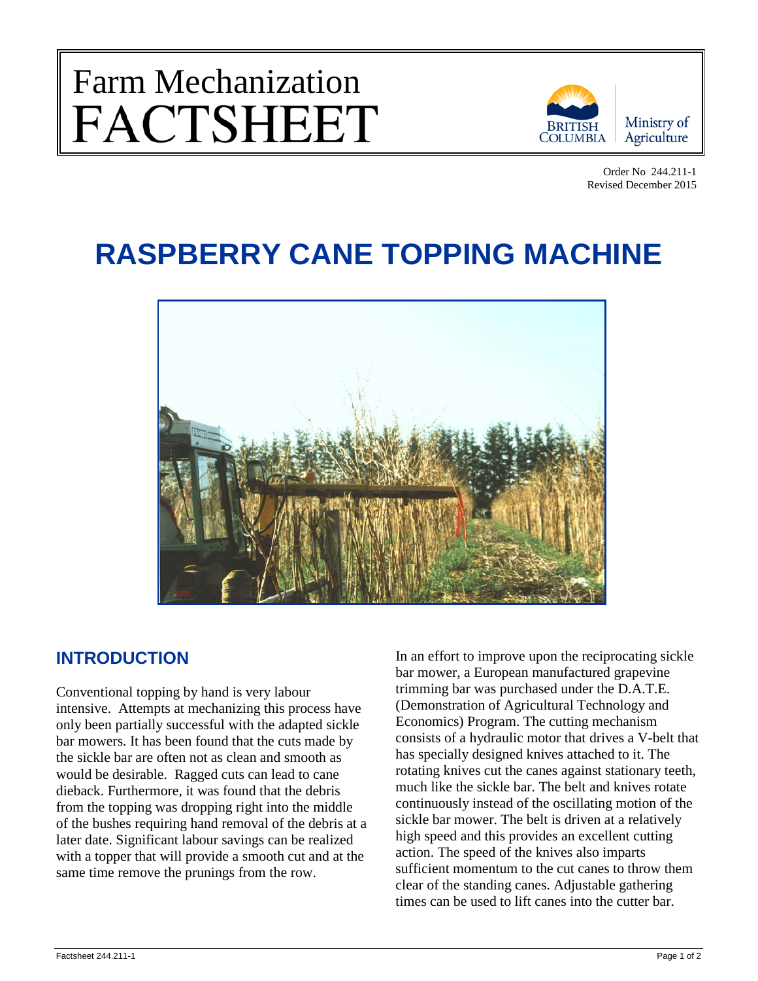## Farm Mechanization<br>FACTSHEET



Order No 244.211-1 Revised December 2015

## **RASPBERRY CANE TOPPING MACHINE**



## **INTRODUCTION**

Conventional topping by hand is very labour intensive. Attempts at mechanizing this process have only been partially successful with the adapted sickle bar mowers. It has been found that the cuts made by the sickle bar are often not as clean and smooth as would be desirable. Ragged cuts can lead to cane dieback. Furthermore, it was found that the debris from the topping was dropping right into the middle of the bushes requiring hand removal of the debris at a later date. Significant labour savings can be realized with a topper that will provide a smooth cut and at the same time remove the prunings from the row.

In an effort to improve upon the reciprocating sickle bar mower, a European manufactured grapevine trimming bar was purchased under the D.A.T.E. (Demonstration of Agricultural Technology and Economics) Program. The cutting mechanism consists of a hydraulic motor that drives a V-belt that has specially designed knives attached to it. The rotating knives cut the canes against stationary teeth, much like the sickle bar. The belt and knives rotate continuously instead of the oscillating motion of the sickle bar mower. The belt is driven at a relatively high speed and this provides an excellent cutting action. The speed of the knives also imparts sufficient momentum to the cut canes to throw them clear of the standing canes. Adjustable gathering times can be used to lift canes into the cutter bar.